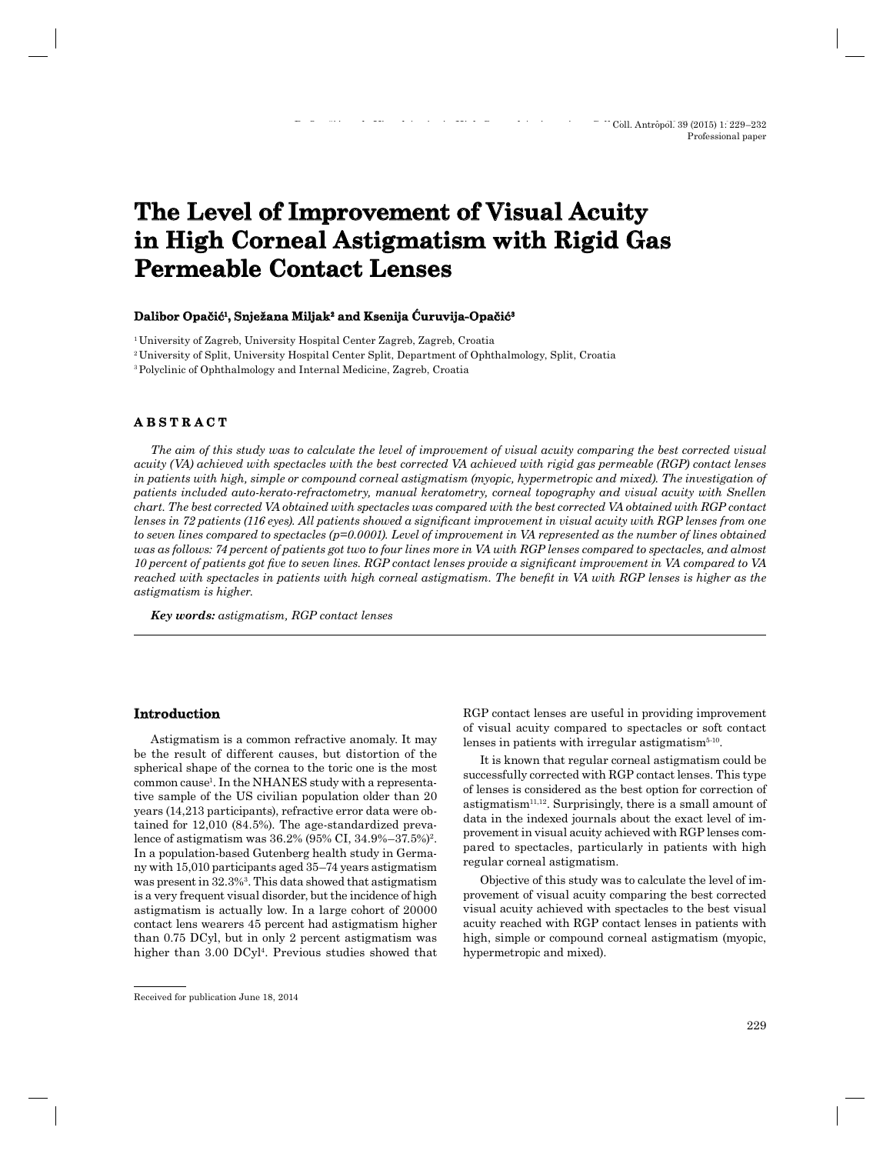# **The Level of Improvement of Visual Acuity in High Corneal Astigmatism with Rigid Gas Rigid Gas Permeable Contact Lenses**

#### Dalibor Opačić<sup>1</sup>, Snježana Miljak<sup>2</sup> and Ksenija Curuvija-Opačić<sup>3</sup>

1 University of Zagreb, University Hospital Center Zagreb, Zagreb, Croatia

2 University of Split, University Hospital Center Split, Department of Ophthalmology, Split, Croatia

3 Polyclinic of Ophthalmology and Internal Medicine, Zagreb, Croatia

## **A B S T R A C T ABSTRACT**

*The aim of this study was to calculate the level of improvement of visual acuity comparing the best corrected visual acuity (VA) achieved with spectacles with the best corrected VA achieved with rigid gas permeable (RGP) contact lenses*  in patients with high, simple or compound corneal astigmatism (myopic, hypermetropic and mixed). The investigation of *patients included auto-kerato-refractometry, manual keratometry, corneal topography and visual acuity with Snellen chart. The best corrected VA obtained with spectacles was compared with the best corrected VA obtained with RGP contact lenses in 72 patients (116 eyes). All patients showed a significant improvement in visual acuity with RGP lenses from one to seven lines compared to spectacles (p=0.0001). Level of improvement in VA represented as the number of lines obtained was as follows: 74 percent of patients got two to four lines more in VA with RGP lenses compared to spectacles, and almost 10 percent of patients got five to seven lines. RGP contact lenses provide a significant improvement in VA compared to VA reached with spectacles in patients with high corneal astigmatism. The benefi t in VA with RGP lenses is higher as the astigmatism is higher.*

*Key words: astigmatism, RGP contact lenses*

## **Introduction**

Astigmatism is a common refractive anomaly. It may be the result of different causes, but distortion of the spherical shape of the cornea to the toric one is the most common cause1 . In the NHANES study with a representative sample of the US civilian population older than 20 years (14,213 participants), refractive error data were obtained for 12,010 (84.5%). The age-standardized prevalence of astigmatism was 36.2% (95% CI, 34.9%–37.5%)2. In a population-based Gutenberg health study in Germany with 15,010 participants aged 35–74 years astigmatism was present in 32.3%3. This data showed that astigmatism is a very frequent visual disorder, but the incidence of high astigmatism is actually low. In a large cohort of 20000 contact lens wearers 45 percent had astigmatism higher than 0.75 DCyl, but in only 2 percent astigmatism was higher than 3.00 DCyl<sup>4</sup>. Previous studies showed that RGP contact lenses are useful in providing improvement of visual acuity compared to spectacles or soft contact lenses in patients with irregular astigmatism $5-10$ .

It is known that regular corneal astigmatism could be successfully corrected with RGP contact lenses. This type of lenses is considered as the best option for correction of astigmatism<sup>11,12</sup>. Surprisingly, there is a small amount of data in the indexed journals about the exact level of improvement in visual acuity achieved with RGP lenses compared to spectacles, particularly in patients with high regular corneal astigmatism.

Objective of this study was to calculate the level of improvement of visual acuity comparing the best corrected visual acuity achieved with spectacles to the best visual acuity reached with RGP contact lenses in patients with high, simple or compound corneal astigmatism (myopic, hypermetropic and mixed).

Received for publication June 18, 2014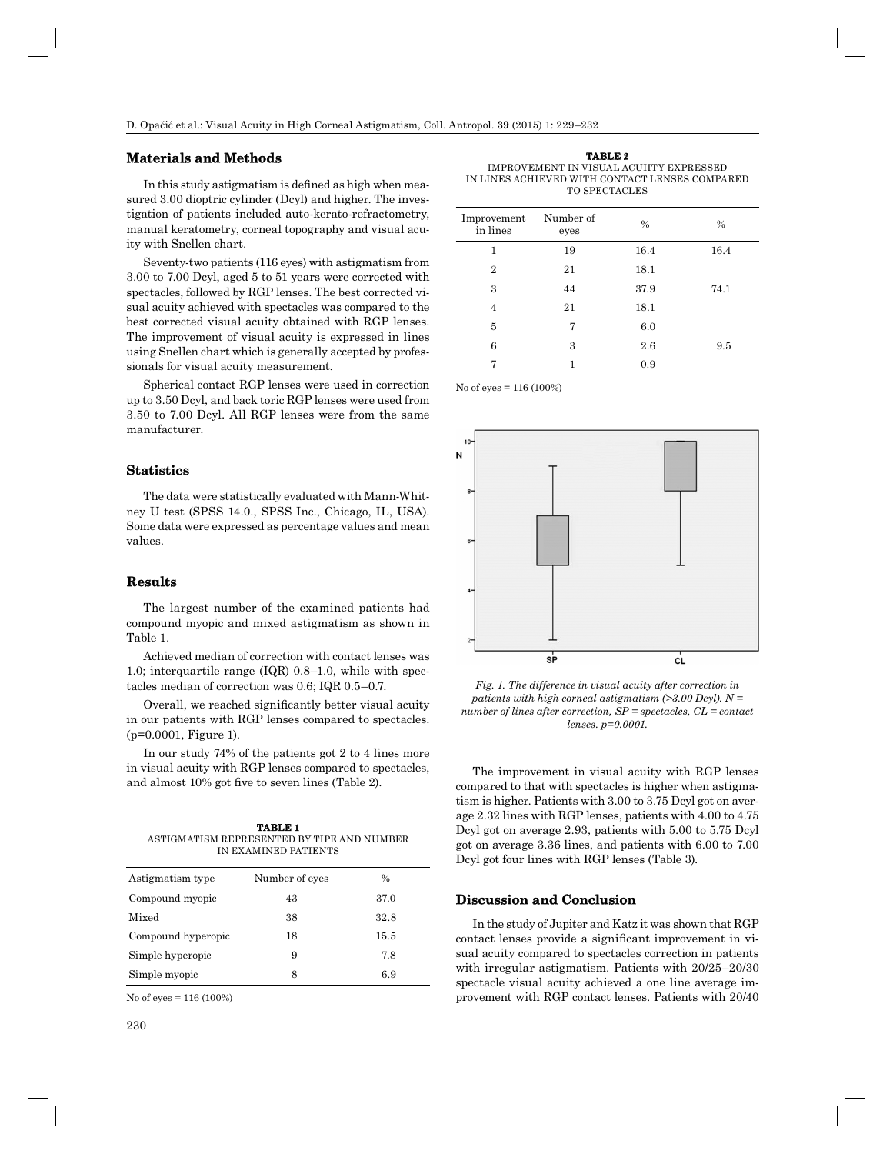### **Materials and Methods**

In this study astigmatism is defined as high when measured 3.00 dioptric cylinder (Dcyl) and higher. The investigation of patients included auto-kerato-refractometry, manual keratometry, corneal topography and visual acuity with Snellen chart.

Seventy-two patients (116 eyes) with astigmatism from 3.00 to 7.00 Dcyl, aged 5 to 51 years were corrected with spectacles, followed by RGP lenses. The best corrected visual acuity achieved with spectacles was compared to the best corrected visual acuity obtained with RGP lenses. The improvement of visual acuity is expressed in lines using Snellen chart which is generally accepted by professionals for visual acuity measurement.

Spherical contact RGP lenses were used in correction up to 3.50 Dcyl, and back toric RGP lenses were used from 3.50 to 7.00 Dcyl. All RGP lenses were from the same manufacturer.

#### **Statistics**

The data were statistically evaluated with Mann-Whitney U test (SPSS 14.0., SPSS Inc., Chicago, IL, USA). Some data were expressed as percentage values and mean values.

## **Results**

The largest number of the examined patients had compound myopic and mixed astigmatism as shown in Table 1.

Achieved median of correction with contact lenses was 1.0; interquartile range (IQR) 0.8–1.0, while with spectacles median of correction was 0.6; IQR 0.5–0.7.

Overall, we reached significantly better visual acuity in our patients with RGP lenses compared to spectacles. (p=0.0001, Figure 1).

In our study 74% of the patients got 2 to 4 lines more in visual acuity with RGP lenses compared to spectacles, and almost 10% got five to seven lines (Table 2).

| TABLE 1                                    |  |  |  |
|--------------------------------------------|--|--|--|
| ASTIGMATISM REPRESENTED BY TIPE AND NUMBER |  |  |  |
| IN EXAMINED PATIENTS                       |  |  |  |

| Astigmatism type   | Number of eyes | %    |
|--------------------|----------------|------|
| Compound myopic    | 43             | 37.0 |
| Mixed              | 38             | 32.8 |
| Compound hyperopic | 18             | 15.5 |
| Simple hyperopic   | 9              | 7.8  |
| Simple myopic      | 8              | 6.9  |
|                    |                |      |

No of eyes = 116 (100%)

**TABLE 2** IMPROVEMENT IN VISUAL ACUIITY EXPRESSED IN LINES ACHIEVED WITH CONTACT LENSES COMPARED TO SPECTACLES

| Improvement<br>in lines | Number of<br>eyes | $\frac{0}{0}$ | $\frac{0}{0}$ |
|-------------------------|-------------------|---------------|---------------|
| 1                       | 19                | 16.4          | 16.4          |
| $\overline{2}$          | 21                | 18.1          |               |
| 3                       | 44                | 37.9          | 74.1          |
| $\overline{4}$          | 21                | 18.1          |               |
| 5                       | 7                 | 6.0           |               |
| 6                       | 3                 | 2.6           | 9.5           |
| 7                       | $\mathbf{1}$      | 0.9           |               |

No of eyes = 116 (100%)



*Fig. 1. The difference in visual acuity after correction in patients with high corneal astigmatism (>3.00 Dcyl). N = number of lines after correction, SP = spectacles, CL = contact lenses. p=0.0001.*

The improvement in visual acuity with RGP lenses compared to that with spectacles is higher when astigmatism is higher. Patients with 3.00 to 3.75 Dcyl got on average 2.32 lines with RGP lenses, patients with 4.00 to 4.75 Dcyl got on average 2.93, patients with 5.00 to 5.75 Dcyl got on average 3.36 lines, and patients with 6.00 to 7.00 Dcyl got four lines with RGP lenses (Table 3).

#### **Discussion and Conclusion**

In the study of Jupiter and Katz it was shown that RGP contact lenses provide a significant improvement in visual acuity compared to spectacles correction in patients with irregular astigmatism. Patients with 20/25–20/30 spectacle visual acuity achieved a one line average improvement with RGP contact lenses. Patients with 20/40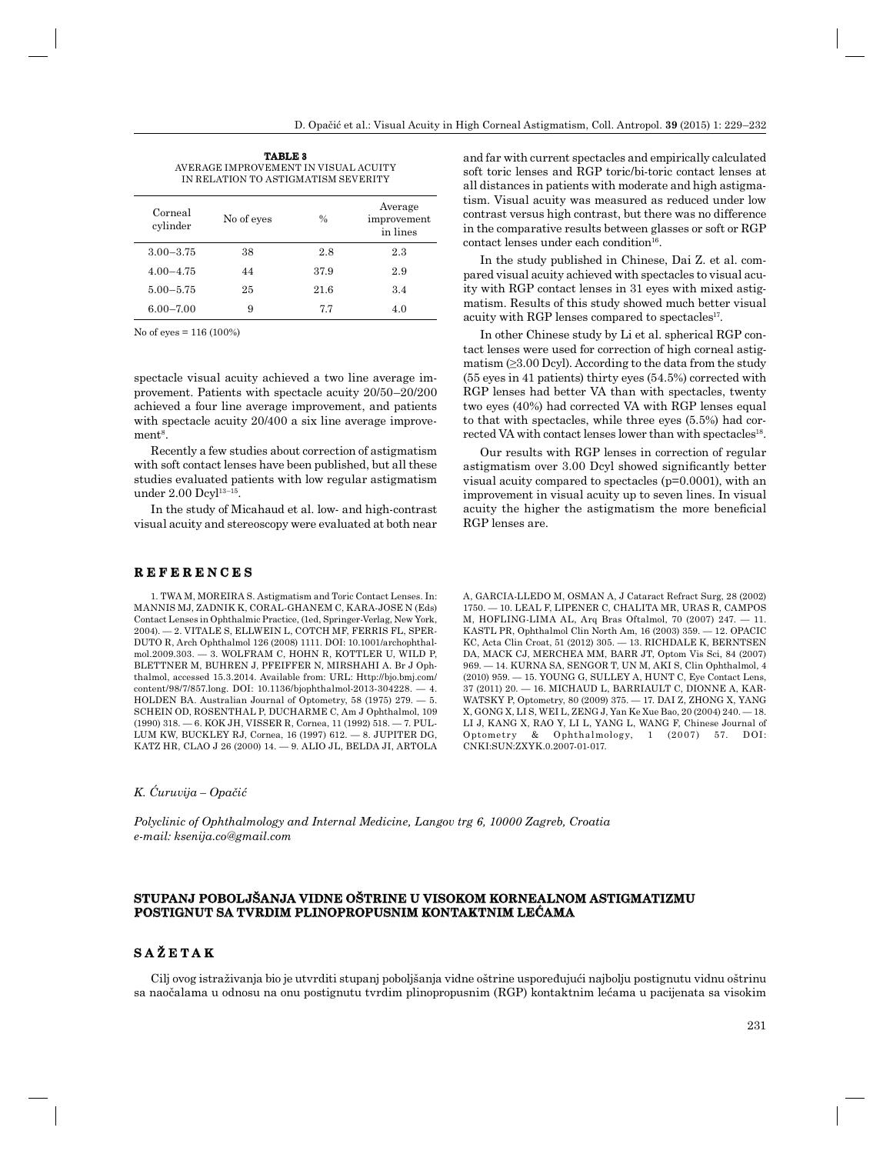**TABLE 3** AVERAGE IMPROVEMENT IN VISUAL ACUITY IN RELATION TO ASTIGMATISM SEVERITY

| Corneal<br>cylinder | No of eyes | $\frac{0}{0}$ | Average<br>improvement<br>in lines |
|---------------------|------------|---------------|------------------------------------|
| $3.00 - 3.75$       | 38         | 2.8           | 2.3                                |
| $4.00 - 4.75$       | 44         | 37.9          | 2.9                                |
| $5.00 - 5.75$       | 25         | 21.6          | 3.4                                |
| $6.00 - 7.00$       | 9          | 7.7           | 4.0                                |

No of eyes = 116 (100%)

spectacle visual acuity achieved a two line average improvement. Patients with spectacle acuity 20/50–20/200 achieved a four line average improvement, and patients with spectacle acuity  $20/400$  a six line average improve $ment<sup>8</sup>$ .

Recently a few studies about correction of astigmatism with soft contact lenses have been published, but all these studies evaluated patients with low regular astigmatism under 2.00 Dcyl<sup>13-15</sup>.

In the study of Micahaud et al. low- and high-contrast visual acuity and stereoscopy were evaluated at both near

#### **R E F E R E N C E S REFERENCES**

1. TWA M, MOREIRA S. Astigmatism and Toric Contact Lenses. In: MANNIS MJ, ZADNIK K, CORAL-GHANEM C, KARA-JOSE N (Eds) Contact Lenses in Ophthalmic Practice, (1ed, Springer-Verlag, New York, 2004). — 2. VITALE S, ELLWEIN L, COTCH MF, FERRIS FL, SPER-DUTO R, Arch Ophthalmol 126 (2008) 1111. DOI: 10.1001/archophthalmol.2009.303. — 3. WOLFRAM C, HOHN R, KOTTLER U, WILD P, BLETTNER M, BUHREN J, PFEIFFER N, MIRSHAHI A. Br J Ophthalmol, accessed 15.3.2014. Available from: URL: Http://bjo.bmj.com/ content/98/7/857.long. DOI: 10.1136/bjophthalmol-2013-304228. — 4. HOLDEN BA. Australian Journal of Optometry, 58 (1975) 279. — 5. SCHEIN OD, ROSENTHAL P, DUCHARME C, Am J Ophthalmol, 109 (1990) 318. — 6. KOK JH, VISSER R, Cornea, 11 (1992) 518. — 7. PUL-LUM KW, BUCKLEY RJ, Cornea, 16 (1997) 612. — 8. JUPITER DG, KATZ HR, CLAO J 26 (2000) 14. — 9. ALIO JL, BELDA JI, ARTOLA

and far with current spectacles and empirically calculated soft toric lenses and RGP toric/bi-toric contact lenses at all distances in patients with moderate and high astigmatism. Visual acuity was measured as reduced under low contrast versus high contrast, but there was no difference in the comparative results between glasses or soft or RGP  $contact$  lenses under each condition<sup>16</sup>.

In the study published in Chinese, Dai Z. et al. compared visual acuity achieved with spectacles to visual acuity with RGP contact lenses in 31 eyes with mixed astigmatism. Results of this study showed much better visual acuity with RGP lenses compared to spectacles<sup>17</sup>.

In other Chinese study by Li et al. spherical RGP contact lenses were used for correction of high corneal astigmatism  $(\geq 3.00 \text{ Dcyl})$ . According to the data from the study (55 eyes in 41 patients) thirty eyes (54.5%) corrected with RGP lenses had better VA than with spectacles, twenty two eyes (40%) had corrected VA with RGP lenses equal to that with spectacles, while three eyes (5.5%) had corrected VA with contact lenses lower than with spectacles<sup>18</sup>.

Our results with RGP lenses in correction of regular astigmatism over 3.00 Dcyl showed significantly better visual acuity compared to spectacles (p=0.0001), with an improvement in visual acuity up to seven lines. In visual acuity the higher the astigmatism the more beneficial RGP lenses are.

A, GARCIA-LLEDO M, OSMAN A, J Cataract Refract Surg, 28 (2002) 1750. — 10. LEAL F, LIPENER C, CHALITA MR, URAS R, CAMPOS M, HOFLING-LIMA AL, Arq Bras Oftalmol, 70 (2007) 247. — 11. KASTL PR, Ophthalmol Clin North Am, 16 (2003) 359. — 12. OPACIC KC, Acta Clin Croat, 51 (2012) 305. — 13. RICHDALE K, BERNTSEN DA, MACK CJ, MERCHEA MM, BARR JT, Optom Vis Sci, 84 (2007) 969. — 14. KURNA SA, SENGOR T, UN M, AKI S, Clin Ophthalmol, 4 (2010) 959. — 15. YOUNG G, SULLEY A, HUNT C, Eye Contact Lens, 37 (2011) 20. — 16. MICHAUD L, BARRIAULT C, DIONNE A, KAR-WATSKY P, Optometry, 80 (2009) 375. — 17. DAI Z, ZHONG X, YANG X, GONG X, LI S, WEI L, ZENG J, Yan Ke Xue Bao, 20 (2004) 240. — 18. LI J, KANG X, RAO Y, LI L, YANG L, WANG F, Chinese Journal of Optometry & Ophthalmology, 1 (2007) 57. DOI: CNKI:SUN:ZXYK.0.2007-01-017.

#### *K. Ćuruvija – Opačić*

*Polyclinic of Ophthalmology and Internal Medicine, Langov trg 6, 10000 Zagreb, Croatia e-mail: ksenija.co@gmail.com*

## **STUPANJ POBOLJŠANJA VIDNE OŠTRINE U VISOKOM KORNEALNOM ASTIGMATIZMU POSTIGNUT SA TVRDIM PLINOPROPUSNIM KONTAKTNIM LEĆAMA**

## **S A Ž E T A K SAŽETAK**

Cilj ovog istraživanja bio je utvrditi stupanj poboljšanja vidne oštrine uspoređujući najbolju postignutu vidnu oštrinu sa naočalama u odnosu na onu postignutu tvrdim plinopropusnim (RGP) kontaktnim lećama u pacijenata sa visokim